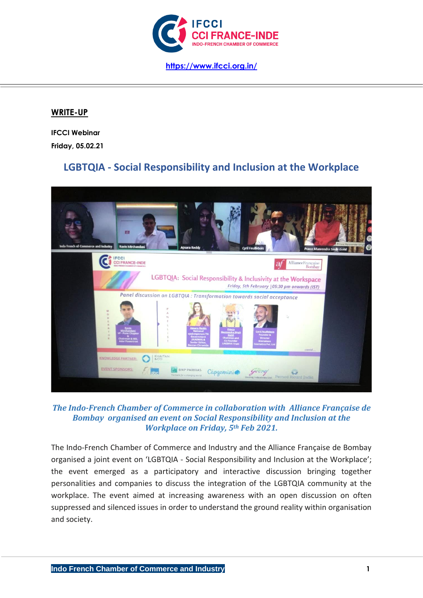

## **WRITE-UP**

**IFCCI Webinar Friday, 05.02.21**

# **LGBTQIA - Social Responsibility and Inclusion at the Workplace**



## *The Indo-French Chamber of Commerce in collaboration with Alliance Française de Bombay organised an event on Social Responsibility and Inclusion at the Workplace on Friday, 5th Feb 2021.*

The Indo-French Chamber of Commerce and Industry and the Alliance Française de Bombay organised a joint event on 'LGBTQIA - Social Responsibility and Inclusion at the Workplace'; the event emerged as a participatory and interactive discussion bringing together personalities and companies to discuss the integration of the LGBTQIA community at the workplace. The event aimed at increasing awareness with an open discussion on often suppressed and silenced issues in order to understand the ground reality within organisation and society.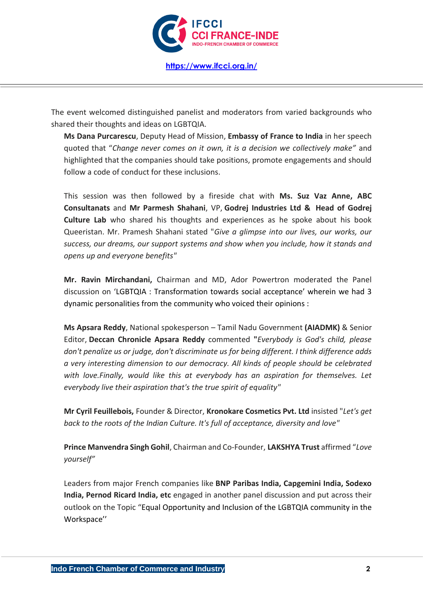

**<https://www.ifcci.org.in/>**

The event welcomed distinguished panelist and moderators from varied backgrounds who shared their thoughts and ideas on LGBTQIA.

**Ms Dana Purcarescu**, Deputy Head of Mission, **Embassy of France to India** in her speech quoted that "*Change never comes on it own, it is a decision we collectively make"* and highlighted that the companies should take positions, promote engagements and should follow a code of conduct for these inclusions.

This session was then followed by a fireside chat with **Ms. Suz Vaz Anne, ABC Consultanats** and **Mr Parmesh Shahani**, VP, **Godrej Industries Ltd & Head of Godrej Culture Lab** who shared his thoughts and experiences as he spoke about his book Queeristan. Mr. Pramesh Shahani stated "*Give a glimpse into our lives, our works, our success, our dreams, our support systems and show when you include, how it stands and opens up and everyone benefits"*

**Mr. Ravin Mirchandani,** Chairman and MD, Ador Powertron moderated the Panel discussion on 'LGBTQIA : Transformation towards social acceptance' wherein we had 3 dynamic personalities from the community who voiced their opinions :

**Ms Apsara Reddy**, National spokesperson – Tamil Nadu Government **(AIADMK)** & Senior Editor, **Deccan Chronicle Apsara Reddy** commented **"***Everybody is God's child, please don't penalize us or judge, don't discriminate us for being different. I think difference adds a very interesting dimension to our democracy. All kinds of people should be celebrated with love.Finally, would like this at everybody has an aspiration for themselves. Let everybody live their aspiration that's the true spirit of equality"*

**Mr Cyril Feuillebois,** Founder & Director, **Kronokare Cosmetics Pvt. Ltd** insisted "*Let's get back to the roots of the Indian Culture. It's full of acceptance, diversity and love"*

**Prince Manvendra Singh Gohil**, Chairman and Co-Founder, **LAKSHYA Trust** affirmed "*Love yourself"*

Leaders from major French companies like **BNP Paribas India, Capgemini India, Sodexo India, Pernod Ricard India, etc** engaged in another panel discussion and put across their outlook on the Topic "Equal Opportunity and Inclusion of the LGBTQIA community in the Workspace''